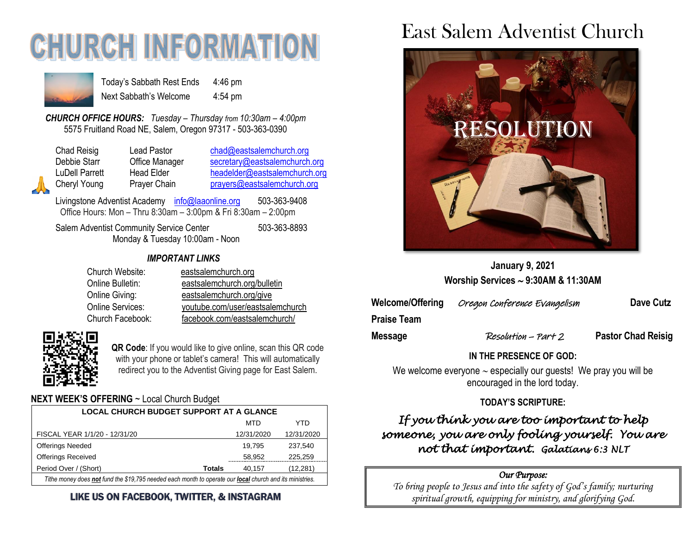# **CHURCH INFORMATI**



Today's Sabbath Rest Ends 4:46 pm Next Sabbath's Welcome 4:54 pm

*CHURCH OFFICE HOURS: Tuesday – Thursday from 10:30am – 4:00pm* 5575 Fruitland Road NE, Salem, Oregon 97317 - 503-363-0390

| Chad Reisig           |
|-----------------------|
| Debbie Starr          |
| <b>LuDell Parrett</b> |
| Cheryl Young          |
|                       |

Lead Pastor [chad@eastsalemchurch.org](mailto:chad@eastsalemchurch.org) Office Manager [secretary@eastsalemchurch.org](mailto:secretary@eastsalemchurch.org) Head Elder [headelder@eastsalemchurch.org](mailto:headelder@eastsalemchurch.org) Prayer Chain [prayers@eastsalemchurch.org](mailto:prayers@eastsalemchurch.org)

Livingstone Adventist Academy [info@laaonline.org](mailto:info@laaonline.org) 503-363-9408 Office Hours: Mon – Thru 8:30am – 3:00pm & Fri 8:30am – 2:00pm

Salem Adventist Community Service Center 503-363-8893 Monday & Tuesday 10:00am - Noon

#### *IMPORTANT LINKS*

| Church Website:  | eastsalemchurch.org              |
|------------------|----------------------------------|
| Online Bulletin: | eastsalemchurch.org/bulletin     |
| Online Giving:   | eastsalemchurch.org/give         |
| Online Services: | youtube.com/user/eastsalemchurch |
| Church Facebook: | facebook.com/eastsalemchurch/    |



**QR Code**: If you would like to give online, scan this QR code with your phone or tablet's camera! This will automatically redirect you to the Adventist Giving page for East Salem.

### **NEXT WEEK'S OFFERING** ~ Local Church Budget

| <b>LOCAL CHURCH BUDGET SUPPORT AT A GLANCE</b>                                                           |               |            |            |  |
|----------------------------------------------------------------------------------------------------------|---------------|------------|------------|--|
|                                                                                                          |               | MTD        | YTD        |  |
| FISCAL YEAR 1/1/20 - 12/31/20                                                                            |               | 12/31/2020 | 12/31/2020 |  |
| <b>Offerings Needed</b>                                                                                  |               | 19.795     | 237.540    |  |
| <b>Offerings Received</b>                                                                                |               | 58,952     | 225.259    |  |
| Period Over / (Short)                                                                                    | <b>Totals</b> | 40.157     | (12, 281)  |  |
| Tithe money does not fund the \$19,795 needed each month to operate our local church and its ministries. |               |            |            |  |

### LIKE US ON FACEBOOK, TWITTER, & INSTAGRAM

# East Salem Adventist Church



**January 9, 2021 Worship Services 9:30AM & 11:30AM**

**Welcome/Offering** Oregon Conference Evangelism **Dave Cutz**

**Praise Team**

**Message Resolution – Part 2 Pastor Chad Reisig** 

**IN THE PRESENCE OF GOD:** 

We welcome everyone  $\sim$  especially our guests! We pray you will be encouraged in the lord today.

### **TODAY'S SCRIPTURE:**

### *If you think you are too important to help someone, you are only fooling yourself. You are not that important. Galatians 6:3 NLT*

#### *Our Purpose:*

*To bring people to Jesus and into the safety of God's family; nurturing spiritual growth, equipping for ministry, and glorifying God.*